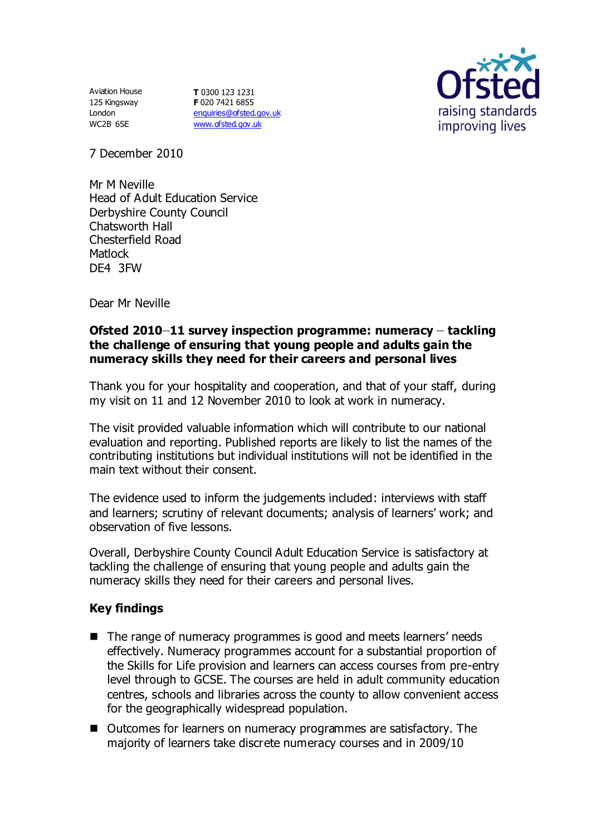Aviation House 125 Kingsway London WC2B 6SE

**T** 0300 123 1231 **F** 020 7421 6855 [enquiries@ofsted.gov.uk](mailto:enquiries@ofsted.gov.uk) [www.ofsted.gov.uk](http://www.ofsted.gov.uk/)



7 December 2010

Mr M Neville Head of Adult Education Service Derbyshire County Council Chatsworth Hall Chesterfield Road Matlock DE4 3FW

Dear Mr Neville

## **Ofsted 2010–11 survey inspection programme: numeracy – tackling the challenge of ensuring that young people and adults gain the numeracy skills they need for their careers and personal lives**

Thank you for your hospitality and cooperation, and that of your staff, during my visit on 11 and 12 November 2010 to look at work in numeracy.

The visit provided valuable information which will contribute to our national evaluation and reporting. Published reports are likely to list the names of the contributing institutions but individual institutions will not be identified in the main text without their consent.

The evidence used to inform the judgements included: interviews with staff and learners; scrutiny of relevant documents; analysis of learners' work; and observation of five lessons.

Overall, Derbyshire County Council Adult Education Service is satisfactory at tackling the challenge of ensuring that young people and adults gain the numeracy skills they need for their careers and personal lives.

## **Key findings**

- The range of numeracy programmes is good and meets learners' needs effectively. Numeracy programmes account for a substantial proportion of the Skills for Life provision and learners can access courses from pre-entry level through to GCSE. The courses are held in adult community education centres, schools and libraries across the county to allow convenient access for the geographically widespread population.
- Outcomes for learners on numeracy programmes are satisfactory. The majority of learners take discrete numeracy courses and in 2009/10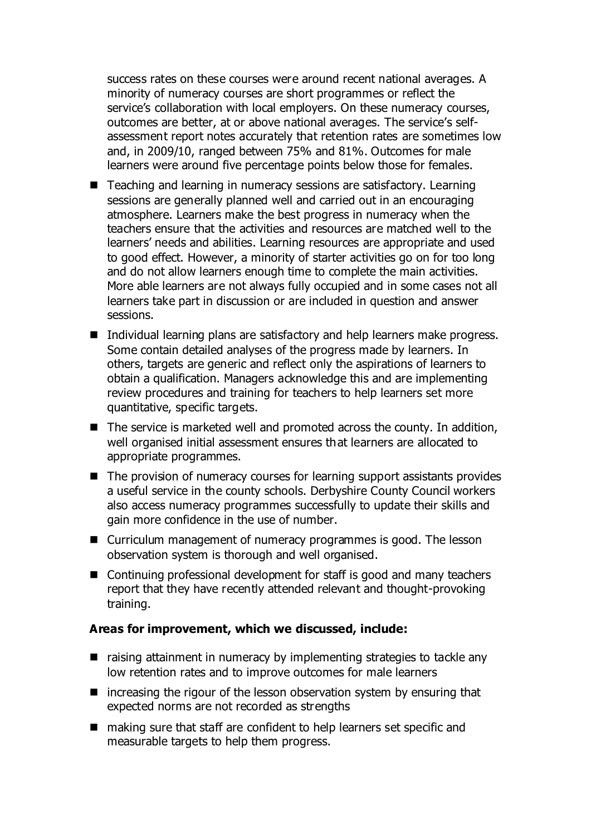success rates on these courses were around recent national averages. A minority of numeracy courses are short programmes or reflect the service's collaboration with local employers. On these numeracy courses, outcomes are better, at or above national averages. The service's selfassessment report notes accurately that retention rates are sometimes low and, in 2009/10, ranged between 75% and 81%. Outcomes for male learners were around five percentage points below those for females.

- Teaching and learning in numeracy sessions are satisfactory. Learning sessions are generally planned well and carried out in an encouraging atmosphere. Learners make the best progress in numeracy when the teachers ensure that the activities and resources are matched well to the learners' needs and abilities. Learning resources are appropriate and used to good effect. However, a minority of starter activities go on for too long and do not allow learners enough time to complete the main activities. More able learners are not always fully occupied and in some cases not all learners take part in discussion or are included in question and answer sessions.
- Individual learning plans are satisfactory and help learners make progress. Some contain detailed analyses of the progress made by learners. In others, targets are generic and reflect only the aspirations of learners to obtain a qualification. Managers acknowledge this and are implementing review procedures and training for teachers to help learners set more quantitative, specific targets.
- The service is marketed well and promoted across the county. In addition, well organised initial assessment ensures that learners are allocated to appropriate programmes.
- The provision of numeracy courses for learning support assistants provides a useful service in the county schools. Derbyshire County Council workers also access numeracy programmes successfully to update their skills and gain more confidence in the use of number.
- Curriculum management of numeracy programmes is good. The lesson observation system is thorough and well organised.
- Continuing professional development for staff is good and many teachers report that they have recently attended relevant and thought-provoking training.

## **Areas for improvement, which we discussed, include:**

- $\blacksquare$  raising attainment in numeracy by implementing strategies to tackle any low retention rates and to improve outcomes for male learners
- $\blacksquare$  increasing the rigour of the lesson observation system by ensuring that expected norms are not recorded as strengths
- making sure that staff are confident to help learners set specific and measurable targets to help them progress.